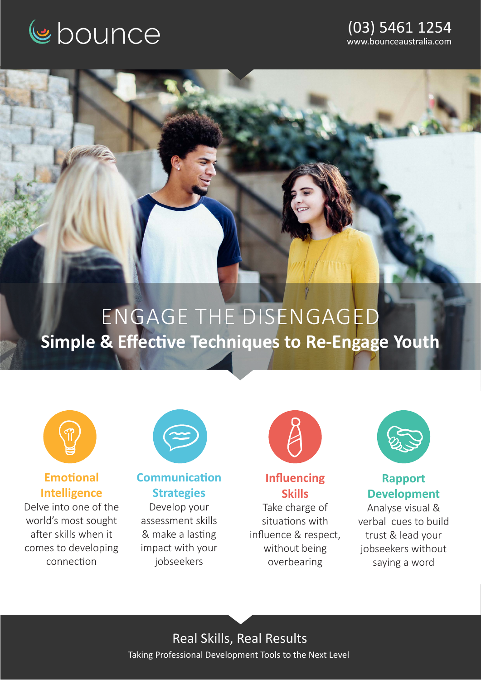

#### (03) 5461 1254 www.bounceaustralia.com

# ENGAGE THE DISENGAGED **Simple & Effective Techniques to Re-Engage Youth**



### **Emotional Intelligence**

Delve into one of the world's most sought after skills when it comes to developing connection



**Communication Strategies**

Develop your assessment skills & make a lasting impact with your jobseekers



### **Influencing Skills**

Take charge of situations with influence & respect, without being overbearing



#### **Rapport Development**

Analyse visual & verbal cues to build trust & lead your jobseekers without saying a word

Real Skills, Real Results Taking Professional Development Tools to the Next Level